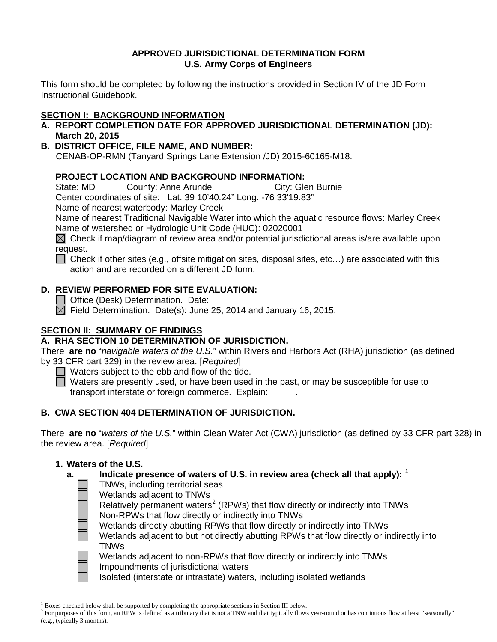### **APPROVED JURISDICTIONAL DETERMINATION FORM U.S. Army Corps of Engineers**

This form should be completed by following the instructions provided in Section IV of the JD Form Instructional Guidebook.

# **SECTION I: BACKGROUND INFORMATION**

- **A. REPORT COMPLETION DATE FOR APPROVED JURISDICTIONAL DETERMINATION (JD): March 20, 2015**
- **B. DISTRICT OFFICE, FILE NAME, AND NUMBER:**

CENAB-OP-RMN (Tanyard Springs Lane Extension /JD) 2015-60165-M18.

### **PROJECT LOCATION AND BACKGROUND INFORMATION:**

State: MD County: Anne Arundel City: Glen Burnie

Center coordinates of site: Lat. 39 10'40.24" Long. -76 33'19.83"

Name of nearest waterbody: Marley Creek

Name of nearest Traditional Navigable Water into which the aquatic resource flows: Marley Creek Name of watershed or Hydrologic Unit Code (HUC): 02020001

 $\boxtimes$  Check if map/diagram of review area and/or potential jurisdictional areas is/are available upon request.

 $\Box$  Check if other sites (e.g., offsite mitigation sites, disposal sites, etc...) are associated with this action and are recorded on a different JD form.

## **D. REVIEW PERFORMED FOR SITE EVALUATION:**

Office (Desk) Determination. Date:

 $\boxtimes$  Field Determination. Date(s): June 25, 2014 and January 16, 2015.

## **SECTION II: SUMMARY OF FINDINGS**

### **A. RHA SECTION 10 DETERMINATION OF JURISDICTION.**

There **are no** "*navigable waters of the U.S.*" within Rivers and Harbors Act (RHA) jurisdiction (as defined by 33 CFR part 329) in the review area. [*Required*]

Waters subject to the ebb and flow of the tide.

 $\Box$  Waters are presently used, or have been used in the past, or may be susceptible for use to transport interstate or foreign commerce. Explain: .

## **B. CWA SECTION 404 DETERMINATION OF JURISDICTION.**

There **are no** "*waters of the U.S.*" within Clean Water Act (CWA) jurisdiction (as defined by 33 CFR part 328) in the review area. [*Required*]

### **1. Waters of the U.S.**

### **a. Indicate presence of waters of U.S. in review area (check all that apply): [1](#page-0-0)**

- TNWs, including territorial seas
- Wetlands adjacent to TNWs

Relatively permanent waters<sup>[2](#page-0-1)</sup> (RPWs) that flow directly or indirectly into TNWs

Non-RPWs that flow directly or indirectly into TNWs

Wetlands directly abutting RPWs that flow directly or indirectly into TNWs

Wetlands adjacent to but not directly abutting RPWs that flow directly or indirectly into TNWs



Wetlands adjacent to non-RPWs that flow directly or indirectly into TNWs Impoundments of jurisdictional waters

Isolated (interstate or intrastate) waters, including isolated wetlands

 <sup>1</sup> Boxes checked below shall be supported by completing the appropriate sections in Section III below.

<span id="page-0-1"></span><span id="page-0-0"></span> $2 \text{ For purposes of this form, an RPW is defined as a tributary that is not a TNW and that typically flows year-round or has continuous flow at least "seasonally" }$ (e.g., typically 3 months).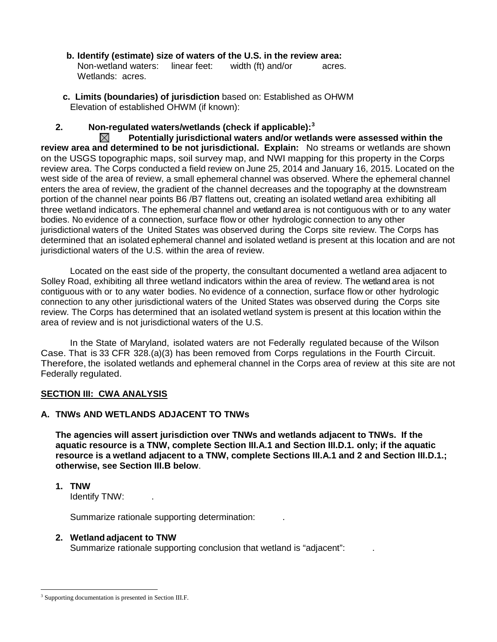- **b. Identify (estimate) size of waters of the U.S. in the review area:** Non-wetland waters: linear feet: width (ft) and/or acres. Wetlands: acres.
- **c. Limits (boundaries) of jurisdiction** based on: Established as OHWM Elevation of established OHWM (if known):

## **2. Non-regulated waters/wetlands (check if applicable): [3](#page-1-0)**

 $\boxtimes$ **Potentially jurisdictional waters and/or wetlands were assessed within the review area and determined to be not jurisdictional. Explain:** No streams or wetlands are shown on the USGS topographic maps, soil survey map, and NWI mapping for this property in the Corps review area. The Corps conducted a field review on June 25, 2014 and January 16, 2015. Located on the west side of the area of review, a small ephemeral channel was observed. Where the ephemeral channel enters the area of review, the gradient of the channel decreases and the topography at the downstream portion of the channel near points B6 /B7 flattens out, creating an isolated wetland area exhibiting all three wetland indicators. The ephemeral channel and wetland area is not contiguous with or to any water bodies. No evidence of a connection, surface flow or other hydrologic connection to any other jurisdictional waters of the United States was observed during the Corps site review. The Corps has determined that an isolated ephemeral channel and isolated wetland is present at this location and are not jurisdictional waters of the U.S. within the area of review.

Located on the east side of the property, the consultant documented a wetland area adjacent to Solley Road, exhibiting all three wetland indicators within the area of review. The wetland area is not contiguous with or to any water bodies. No evidence of a connection, surface flow or other hydrologic connection to any other jurisdictional waters of the United States was observed during the Corps site review. The Corps has determined that an isolated wetland system is present at this location within the area of review and is not jurisdictional waters of the U.S.

In the State of Maryland, isolated waters are not Federally regulated because of the Wilson Case. That is 33 CFR 328.(a)(3) has been removed from Corps regulations in the Fourth Circuit. Therefore, the isolated wetlands and ephemeral channel in the Corps area of review at this site are not Federally regulated.

### **SECTION III: CWA ANALYSIS**

### **A. TNWs AND WETLANDS ADJACENT TO TNWs**

**The agencies will assert jurisdiction over TNWs and wetlands adjacent to TNWs. If the aquatic resource is a TNW, complete Section III.A.1 and Section III.D.1. only; if the aquatic resource is a wetland adjacent to a TNW, complete Sections III.A.1 and 2 and Section III.D.1.; otherwise, see Section III.B below**.

**1. TNW** 

Identify TNW: .

Summarize rationale supporting determination: .

### **2. Wetland adjacent to TNW**

Summarize rationale supporting conclusion that wetland is "adjacent":

<span id="page-1-0"></span><sup>&</sup>lt;sup>3</sup> Supporting documentation is presented in Section III.F.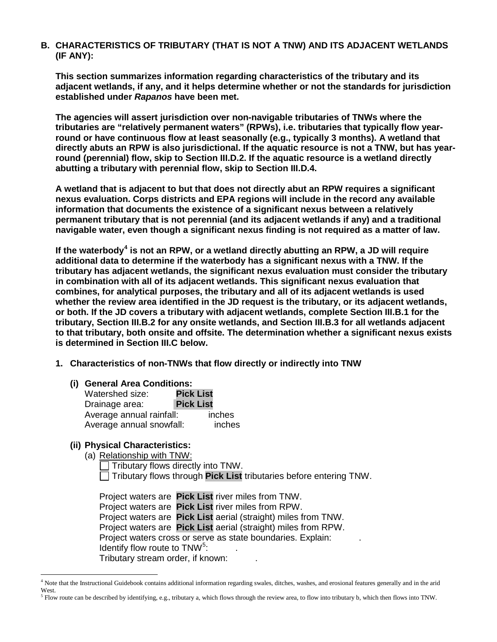### **B. CHARACTERISTICS OF TRIBUTARY (THAT IS NOT A TNW) AND ITS ADJACENT WETLANDS (IF ANY):**

**This section summarizes information regarding characteristics of the tributary and its adjacent wetlands, if any, and it helps determine whether or not the standards for jurisdiction established under** *Rapanos* **have been met.** 

**The agencies will assert jurisdiction over non-navigable tributaries of TNWs where the tributaries are "relatively permanent waters" (RPWs), i.e. tributaries that typically flow yearround or have continuous flow at least seasonally (e.g., typically 3 months). A wetland that directly abuts an RPW is also jurisdictional. If the aquatic resource is not a TNW, but has yearround (perennial) flow, skip to Section III.D.2. If the aquatic resource is a wetland directly abutting a tributary with perennial flow, skip to Section III.D.4.** 

**A wetland that is adjacent to but that does not directly abut an RPW requires a significant nexus evaluation. Corps districts and EPA regions will include in the record any available information that documents the existence of a significant nexus between a relatively permanent tributary that is not perennial (and its adjacent wetlands if any) and a traditional navigable water, even though a significant nexus finding is not required as a matter of law.**

**If the waterbody[4](#page-2-0) is not an RPW, or a wetland directly abutting an RPW, a JD will require additional data to determine if the waterbody has a significant nexus with a TNW. If the tributary has adjacent wetlands, the significant nexus evaluation must consider the tributary in combination with all of its adjacent wetlands. This significant nexus evaluation that combines, for analytical purposes, the tributary and all of its adjacent wetlands is used whether the review area identified in the JD request is the tributary, or its adjacent wetlands, or both. If the JD covers a tributary with adjacent wetlands, complete Section III.B.1 for the tributary, Section III.B.2 for any onsite wetlands, and Section III.B.3 for all wetlands adjacent to that tributary, both onsite and offsite. The determination whether a significant nexus exists is determined in Section III.C below.**

- **1. Characteristics of non-TNWs that flow directly or indirectly into TNW**
	- **(i) General Area Conditions:**

| Watershed size:          | <b>Pick List</b> |        |
|--------------------------|------------------|--------|
| Drainage area:           | <b>Pick List</b> |        |
| Average annual rainfall: |                  | inches |
| Average annual snowfall: |                  | inches |

### **(ii) Physical Characteristics:**

(a) Relationship with TNW:

Tributary flows directly into TNW. Tributary flows through **Pick List** tributaries before entering TNW.

Project waters are **Pick List** river miles from TNW. Project waters are **Pick List** river miles from RPW. Project waters are **Pick List** aerial (straight) miles from TNW. Project waters are **Pick List** aerial (straight) miles from RPW. Project waters cross or serve as state boundaries. Explain: Identify flow route to  $TNW<sup>5</sup>$  $TNW<sup>5</sup>$  $TNW<sup>5</sup>$ : Tributary stream order, if known: .

<span id="page-2-1"></span><sup>5</sup> Flow route can be described by identifying, e.g., tributary a, which flows through the review area, to flow into tributary b, which then flows into TNW.

<span id="page-2-0"></span><sup>&</sup>lt;sup>4</sup> Note that the Instructional Guidebook contains additional information regarding swales, ditches, washes, and erosional features generally and in the arid West.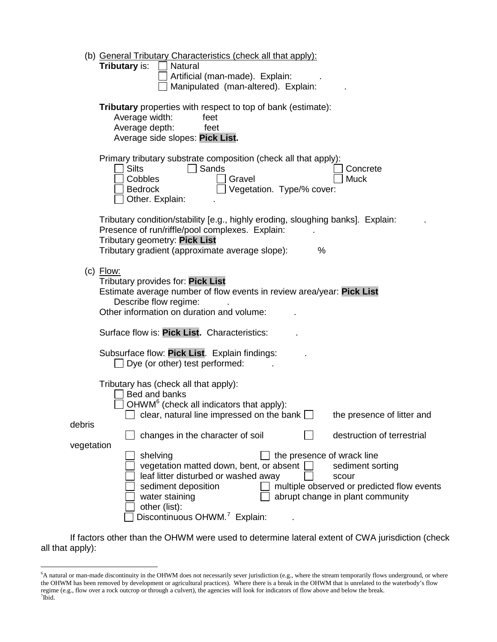|            | (b) General Tributary Characteristics (check all that apply):<br><b>Tributary is:</b><br><b>Natural</b><br>Artificial (man-made). Explain:<br>Manipulated (man-altered). Explain:                                                                                                                                                                 |
|------------|---------------------------------------------------------------------------------------------------------------------------------------------------------------------------------------------------------------------------------------------------------------------------------------------------------------------------------------------------|
|            | Tributary properties with respect to top of bank (estimate):<br>Average width:<br>feet<br>Average depth:<br>feet<br>Average side slopes: Pick List.                                                                                                                                                                                               |
|            | Primary tributary substrate composition (check all that apply):<br><b>Silts</b><br>Sands<br>Concrete<br>Cobbles<br>Gravel<br><b>Muck</b><br>Vegetation. Type/% cover:<br><b>Bedrock</b><br>Other. Explain:                                                                                                                                        |
|            | Tributary condition/stability [e.g., highly eroding, sloughing banks]. Explain:<br>Presence of run/riffle/pool complexes. Explain:<br>Tributary geometry: Pick List<br>Tributary gradient (approximate average slope):<br>%                                                                                                                       |
|            | $(c)$ Flow:<br>Tributary provides for: Pick List<br>Estimate average number of flow events in review area/year: Pick List<br>Describe flow regime:<br>Other information on duration and volume:                                                                                                                                                   |
|            | Surface flow is: Pick List. Characteristics:                                                                                                                                                                                                                                                                                                      |
|            | Subsurface flow: Pick List. Explain findings:<br>$\Box$ Dye (or other) test performed:                                                                                                                                                                                                                                                            |
| debris     | Tributary has (check all that apply):<br>Bed and banks<br>OHWM <sup>6</sup> (check all indicators that apply):<br>$\Box$ clear, natural line impressed on the bank $\Box$<br>the presence of litter and                                                                                                                                           |
| vegetation | changes in the character of soil<br>destruction of terrestrial                                                                                                                                                                                                                                                                                    |
|            | shelving<br>the presence of wrack line<br>vegetation matted down, bent, or absent [<br>sediment sorting<br>leaf litter disturbed or washed away<br>scour<br>multiple observed or predicted flow events<br>sediment deposition<br>abrupt change in plant community<br>water staining<br>other (list):<br>Discontinuous OHWM. <sup>7</sup> Explain: |

If factors other than the OHWM were used to determine lateral extent of CWA jurisdiction (check all that apply):

<span id="page-3-1"></span><span id="page-3-0"></span> <sup>6</sup> A natural or man-made discontinuity in the OHWM does not necessarily sever jurisdiction (e.g., where the stream temporarily flows underground, or where the OHWM has been removed by development or agricultural practices). Where there is a break in the OHWM that is unrelated to the waterbody's flow regime (e.g., flow over a rock outcrop or through a culvert), the agencies will look for indicators of flow above and below the break. <sup>7</sup>  $7$ Ibid.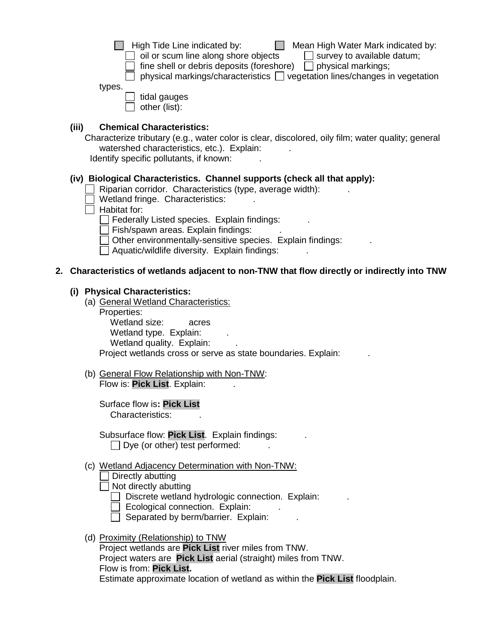| $\Box$ High Tide Line indicated by: |  |
|-------------------------------------|--|
|-------------------------------------|--|

 $\Box$  Mean High Water Mark indicated by:

 $\Box$  oil or scum line along shore objects  $\Box$  survey to available datum;

 $\Box$  fine shell or debris deposits (foreshore)  $\Box$  physical markings;

 $\Box$  physical markings/characteristics  $\Box$  vegetation lines/changes in vegetation

types.

 $\Box$  tidal gauges  $\Box$  other (list):

## **(iii) Chemical Characteristics:**

Characterize tributary (e.g., water color is clear, discolored, oily film; water quality; general watershed characteristics, etc.). Explain:

Identify specific pollutants, if known:

# **(iv) Biological Characteristics. Channel supports (check all that apply):**

- Riparian corridor. Characteristics (type, average width):
- Wetland fringe. Characteristics:

 $\Box$  Habitat for:

 $\Box$  Federally Listed species. Explain findings:

 $\Box$  Fish/spawn areas. Explain findings:

Other environmentally-sensitive species. Explain findings:

 $\Box$  Aquatic/wildlife diversity. Explain findings:

# **2. Characteristics of wetlands adjacent to non-TNW that flow directly or indirectly into TNW**

# **(i) Physical Characteristics:**

(a) General Wetland Characteristics: Properties: Wetland size: acres Wetland type. Explain:

Wetland quality. Explain:

Proiect wetlands cross or serve as state boundaries. Explain:

(b) General Flow Relationship with Non-TNW: Flow is: **Pick List**. Explain: .

Surface flow is**: Pick List**  Characteristics: .

Subsurface flow: **Pick List**. Explain findings: .  $\Box$  Dye (or other) test performed:

# (c) Wetland Adjacency Determination with Non-TNW:

Directly abutting

 $\Box$  Not directly abutting

 $\Box$  Discrete wetland hydrologic connection. Explain:

 $\Box$  Ecological connection. Explain:

 $\Box$  Separated by berm/barrier. Explain:

(d) Proximity (Relationship) to TNW

Project wetlands are **Pick List** river miles from TNW. Project waters are **Pick List** aerial (straight) miles from TNW. Flow is from: **Pick List.**

Estimate approximate location of wetland as within the **Pick List** floodplain.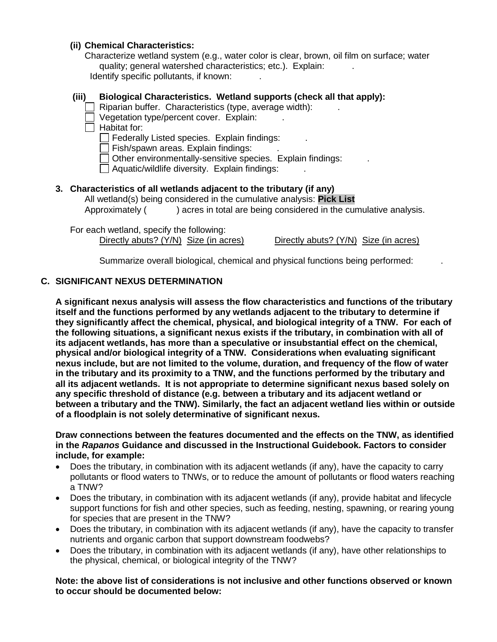### **(ii) Chemical Characteristics:**

Characterize wetland system (e.g., water color is clear, brown, oil film on surface; water quality; general watershed characteristics; etc.). Explain: Identify specific pollutants, if known:

### **(iii) Biological Characteristics. Wetland supports (check all that apply):**

Riparian buffer. Characteristics (type, average width):

- $\Box$  Vegetation type/percent cover. Explain:
- $\Box$  Habitat for:

 $\Box$  Federally Listed species. Explain findings:

Fish/spawn areas. Explain findings: .

Other environmentally-sensitive species. Explain findings: .

Aquatic/wildlife diversity. Explain findings: .

#### **3. Characteristics of all wetlands adjacent to the tributary (if any)**

All wetland(s) being considered in the cumulative analysis: **Pick List** Approximately ( ) acres in total are being considered in the cumulative analysis.

For each wetland, specify the following:

Directly abuts? (Y/N) Size (in acres) Directly abuts? (Y/N) Size (in acres)

Summarize overall biological, chemical and physical functions being performed: .

### **C. SIGNIFICANT NEXUS DETERMINATION**

**A significant nexus analysis will assess the flow characteristics and functions of the tributary itself and the functions performed by any wetlands adjacent to the tributary to determine if they significantly affect the chemical, physical, and biological integrity of a TNW. For each of the following situations, a significant nexus exists if the tributary, in combination with all of its adjacent wetlands, has more than a speculative or insubstantial effect on the chemical, physical and/or biological integrity of a TNW. Considerations when evaluating significant nexus include, but are not limited to the volume, duration, and frequency of the flow of water in the tributary and its proximity to a TNW, and the functions performed by the tributary and all its adjacent wetlands. It is not appropriate to determine significant nexus based solely on any specific threshold of distance (e.g. between a tributary and its adjacent wetland or between a tributary and the TNW). Similarly, the fact an adjacent wetland lies within or outside of a floodplain is not solely determinative of significant nexus.** 

#### **Draw connections between the features documented and the effects on the TNW, as identified in the** *Rapanos* **Guidance and discussed in the Instructional Guidebook. Factors to consider include, for example:**

- Does the tributary, in combination with its adjacent wetlands (if any), have the capacity to carry pollutants or flood waters to TNWs, or to reduce the amount of pollutants or flood waters reaching a TNW?
- Does the tributary, in combination with its adjacent wetlands (if any), provide habitat and lifecycle support functions for fish and other species, such as feeding, nesting, spawning, or rearing young for species that are present in the TNW?
- Does the tributary, in combination with its adjacent wetlands (if any), have the capacity to transfer nutrients and organic carbon that support downstream foodwebs?
- Does the tributary, in combination with its adjacent wetlands (if any), have other relationships to the physical, chemical, or biological integrity of the TNW?

#### **Note: the above list of considerations is not inclusive and other functions observed or known to occur should be documented below:**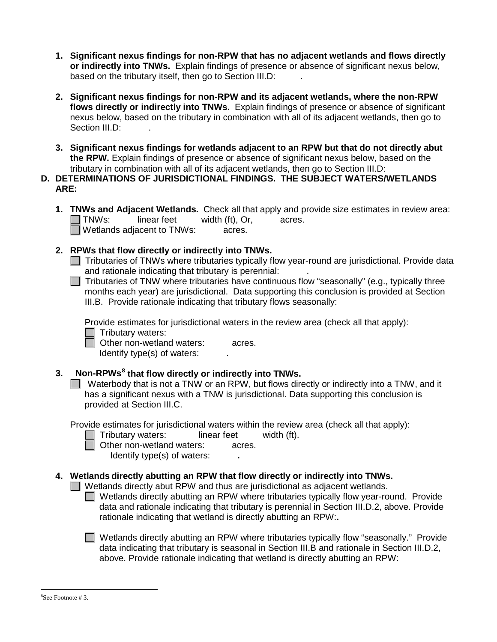- **1. Significant nexus findings for non-RPW that has no adjacent wetlands and flows directly or indirectly into TNWs.** Explain findings of presence or absence of significant nexus below, based on the tributary itself, then go to Section III.D:
- **2. Significant nexus findings for non-RPW and its adjacent wetlands, where the non-RPW flows directly or indirectly into TNWs.** Explain findings of presence or absence of significant nexus below, based on the tributary in combination with all of its adjacent wetlands, then go to Section III.D:
- **3. Significant nexus findings for wetlands adjacent to an RPW but that do not directly abut the RPW.** Explain findings of presence or absence of significant nexus below, based on the tributary in combination with all of its adjacent wetlands, then go to Section III.D:
- **D. DETERMINATIONS OF JURISDICTIONAL FINDINGS. THE SUBJECT WATERS/WETLANDS ARE:**
	- **1. TNWs and Adjacent Wetlands.** Check all that apply and provide size estimates in review area: TNWs: linear feet width (ft), Or, acres.  $\Box$  Wetlands adjacent to TNWs:  $\Box$  acres.
	- **2. RPWs that flow directly or indirectly into TNWs.**
		- $\Box$  Tributaries of TNWs where tributaries typically flow year-round are jurisdictional. Provide data and rationale indicating that tributary is perennial: .
		- $\Box$  Tributaries of TNW where tributaries have continuous flow "seasonally" (e.g., typically three months each year) are jurisdictional. Data supporting this conclusion is provided at Section III.B. Provide rationale indicating that tributary flows seasonally:

Provide estimates for jurisdictional waters in the review area (check all that apply):

 $\Box$  Tributary waters:

□ Other non-wetland waters: acres.

Identify type(s) of waters:  $\qquad \qquad$ .

## **3. Non-RPWs[8](#page-6-0) that flow directly or indirectly into TNWs.**

Waterbody that is not a TNW or an RPW, but flows directly or indirectly into a TNW, and it has a significant nexus with a TNW is jurisdictional. Data supporting this conclusion is provided at Section III.C.

Provide estimates for jurisdictional waters within the review area (check all that apply):

- Tributary waters: linear feet width (ft).
- - □ Other non-wetland waters: acres.
		- Identify type(s) of waters: **.**

## **4. Wetlands directly abutting an RPW that flow directly or indirectly into TNWs.**

 $\Box$  Wetlands directly abut RPW and thus are jurisdictional as adjacent wetlands.

 $\Box$  Wetlands directly abutting an RPW where tributaries typically flow year-round. Provide data and rationale indicating that tributary is perennial in Section III.D.2, above. Provide rationale indicating that wetland is directly abutting an RPW:**.**

■ Wetlands directly abutting an RPW where tributaries typically flow "seasonally." Provide data indicating that tributary is seasonal in Section III.B and rationale in Section III.D.2, above. Provide rationale indicating that wetland is directly abutting an RPW:

<span id="page-6-0"></span> <sup>8</sup> <sup>8</sup>See Footnote #3.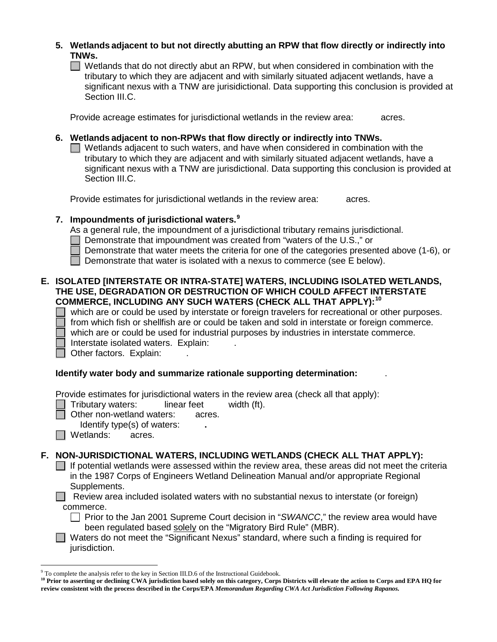- **5. Wetlands adjacent to but not directly abutting an RPW that flow directly or indirectly into TNWs.**
	- $\Box$  Wetlands that do not directly abut an RPW, but when considered in combination with the tributary to which they are adjacent and with similarly situated adjacent wetlands, have a significant nexus with a TNW are jurisidictional. Data supporting this conclusion is provided at Section III.C.

Provide acreage estimates for jurisdictional wetlands in the review area: acres.

### **6. Wetlands adjacent to non-RPWs that flow directly or indirectly into TNWs.**

 $\Box$  Wetlands adjacent to such waters, and have when considered in combination with the tributary to which they are adjacent and with similarly situated adjacent wetlands, have a significant nexus with a TNW are jurisdictional. Data supporting this conclusion is provided at Section III.C.

Provide estimates for jurisdictional wetlands in the review area: acres.

### **7. Impoundments of jurisdictional waters. [9](#page-7-0)**

As a general rule, the impoundment of a jurisdictional tributary remains jurisdictional.

Demonstrate that impoundment was created from "waters of the U.S.," or

Demonstrate that water meets the criteria for one of the categories presented above (1-6), or

Demonstrate that water is isolated with a nexus to commerce (see E below).

### **E. ISOLATED [INTERSTATE OR INTRA-STATE] WATERS, INCLUDING ISOLATED WETLANDS, THE USE, DEGRADATION OR DESTRUCTION OF WHICH COULD AFFECT INTERSTATE COMMERCE, INCLUDING ANY SUCH WATERS (CHECK ALL THAT APPLY):[10](#page-7-1)**

 which are or could be used by interstate or foreign travelers for recreational or other purposes. from which fish or shellfish are or could be taken and sold in interstate or foreign commerce. which are or could be used for industrial purposes by industries in interstate commerce.

Interstate isolated waters.Explain: .

Other factors. Explain:

## **Identify water body and summarize rationale supporting determination:** .

Provide estimates for jurisdictional waters in the review area (check all that apply):

Tributary waters: linear feet width (ft).

Other non-wetland waters: acres.

Identify type(s) of waters: **.**

**N** Wetlands: acres.

## **F. NON-JURISDICTIONAL WATERS, INCLUDING WETLANDS (CHECK ALL THAT APPLY):**

 $\Box$  If potential wetlands were assessed within the review area, these areas did not meet the criteria in the 1987 Corps of Engineers Wetland Delineation Manual and/or appropriate Regional Supplements.

Review area included isolated waters with no substantial nexus to interstate (or foreign) commerce.

□ Prior to the Jan 2001 Supreme Court decision in "*SWANCC*," the review area would have been regulated based solely on the "Migratory Bird Rule" (MBR).

■ Waters do not meet the "Significant Nexus" standard, where such a finding is required for jurisdiction.

<span id="page-7-0"></span> <sup>9</sup> To complete the analysis refer to the key in Section III.D.6 of the Instructional Guidebook.

<span id="page-7-1"></span><sup>&</sup>lt;sup>10</sup> Prior to asserting or declining CWA jurisdiction based solely on this category, Corps Districts will elevate the action to Corps and EPA HQ for **review consistent with the process described in the Corps/EPA** *Memorandum Regarding CWA Act Jurisdiction Following Rapanos.*